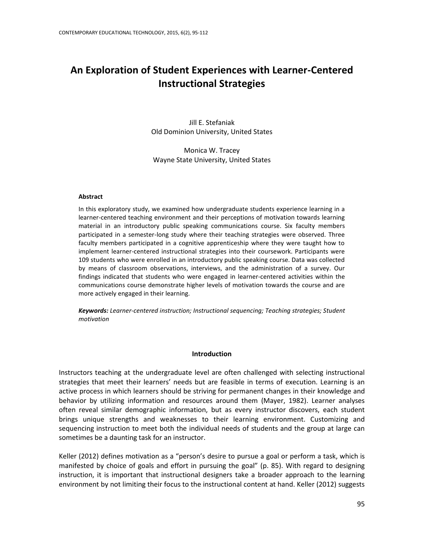# **An Exploration of Student Experiences with Learner-Centered Instructional Strategies**

Jill E. Stefaniak Old Dominion University, United States

Monica W. Tracey Wayne State University, United States

#### **Abstract**

In this exploratory study, we examined how undergraduate students experience learning in a learner-centered teaching environment and their perceptions of motivation towards learning material in an introductory public speaking communications course. Six faculty members participated in a semester-long study where their teaching strategies were observed. Three faculty members participated in a cognitive apprenticeship where they were taught how to implement learner-centered instructional strategies into their coursework. Participants were 109 students who were enrolled in an introductory public speaking course. Data was collected by means of classroom observations, interviews, and the administration of a survey. Our findings indicated that students who were engaged in learner-centered activities within the communications course demonstrate higher levels of motivation towards the course and are more actively engaged in their learning.

*Keywords: Learner-centered instruction; Instructional sequencing; Teaching strategies; Student motivation*

## **Introduction**

Instructors teaching at the undergraduate level are often challenged with selecting instructional strategies that meet their learners' needs but are feasible in terms of execution. Learning is an active process in which learners should be striving for permanent changes in their knowledge and behavior by utilizing information and resources around them (Mayer, 1982). Learner analyses often reveal similar demographic information, but as every instructor discovers, each student brings unique strengths and weaknesses to their learning environment. Customizing and sequencing instruction to meet both the individual needs of students and the group at large can sometimes be a daunting task for an instructor.

Keller (2012) defines motivation as a "person's desire to pursue a goal or perform a task, which is manifested by choice of goals and effort in pursuing the goal" (p. 85). With regard to designing instruction, it is important that instructional designers take a broader approach to the learning environment by not limiting their focus to the instructional content at hand. Keller (2012) suggests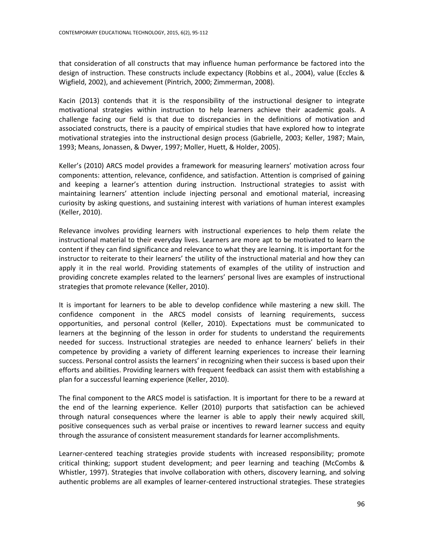that consideration of all constructs that may influence human performance be factored into the design of instruction. These constructs include expectancy (Robbins et al., 2004), value (Eccles & Wigfield, 2002), and achievement (Pintrich, 2000; Zimmerman, 2008).

Kacin (2013) contends that it is the responsibility of the instructional designer to integrate motivational strategies within instruction to help learners achieve their academic goals. A challenge facing our field is that due to discrepancies in the definitions of motivation and associated constructs, there is a paucity of empirical studies that have explored how to integrate motivational strategies into the instructional design process (Gabrielle, 2003; Keller, 1987; Main, 1993; Means, Jonassen, & Dwyer, 1997; Moller, Huett, & Holder, 2005).

Keller's (2010) ARCS model provides a framework for measuring learners' motivation across four components: attention, relevance, confidence, and satisfaction. Attention is comprised of gaining and keeping a learner's attention during instruction. Instructional strategies to assist with maintaining learners' attention include injecting personal and emotional material, increasing curiosity by asking questions, and sustaining interest with variations of human interest examples (Keller, 2010).

Relevance involves providing learners with instructional experiences to help them relate the instructional material to their everyday lives. Learners are more apt to be motivated to learn the content if they can find significance and relevance to what they are learning. It is important for the instructor to reiterate to their learners' the utility of the instructional material and how they can apply it in the real world. Providing statements of examples of the utility of instruction and providing concrete examples related to the learners' personal lives are examples of instructional strategies that promote relevance (Keller, 2010).

It is important for learners to be able to develop confidence while mastering a new skill. The confidence component in the ARCS model consists of learning requirements, success opportunities, and personal control (Keller, 2010). Expectations must be communicated to learners at the beginning of the lesson in order for students to understand the requirements needed for success. Instructional strategies are needed to enhance learners' beliefs in their competence by providing a variety of different learning experiences to increase their learning success. Personal control assists the learners' in recognizing when their success is based upon their efforts and abilities. Providing learners with frequent feedback can assist them with establishing a plan for a successful learning experience (Keller, 2010).

The final component to the ARCS model is satisfaction. It is important for there to be a reward at the end of the learning experience. Keller (2010) purports that satisfaction can be achieved through natural consequences where the learner is able to apply their newly acquired skill, positive consequences such as verbal praise or incentives to reward learner success and equity through the assurance of consistent measurement standards for learner accomplishments.

Learner-centered teaching strategies provide students with increased responsibility; promote critical thinking; support student development; and peer learning and teaching (McCombs & Whistler, 1997). Strategies that involve collaboration with others, discovery learning, and solving authentic problems are all examples of learner-centered instructional strategies. These strategies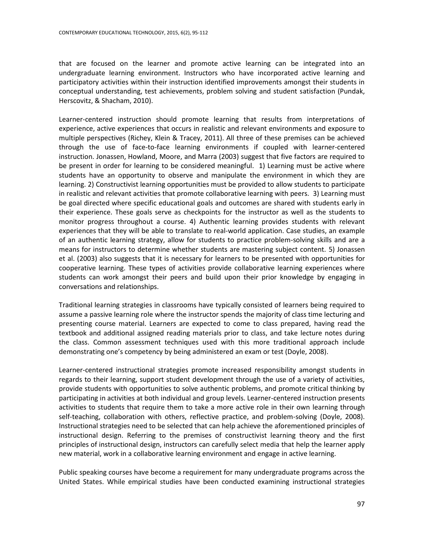that are focused on the learner and promote active learning can be integrated into an undergraduate learning environment. Instructors who have incorporated active learning and participatory activities within their instruction identified improvements amongst their students in conceptual understanding, test achievements, problem solving and student satisfaction (Pundak, Herscovitz, & Shacham, 2010).

Learner-centered instruction should promote learning that results from interpretations of experience, active experiences that occurs in realistic and relevant environments and exposure to multiple perspectives (Richey, Klein & Tracey, 2011). All three of these premises can be achieved through the use of face-to-face learning environments if coupled with learner-centered instruction. Jonassen, Howland, Moore, and Marra (2003) suggest that five factors are required to be present in order for learning to be considered meaningful. 1) Learning must be active where students have an opportunity to observe and manipulate the environment in which they are learning. 2) Constructivist learning opportunities must be provided to allow students to participate in realistic and relevant activities that promote collaborative learning with peers. 3) Learning must be goal directed where specific educational goals and outcomes are shared with students early in their experience. These goals serve as checkpoints for the instructor as well as the students to monitor progress throughout a course. 4) Authentic learning provides students with relevant experiences that they will be able to translate to real-world application. Case studies, an example of an authentic learning strategy, allow for students to practice problem-solving skills and are a means for instructors to determine whether students are mastering subject content. 5) Jonassen et al. (2003) also suggests that it is necessary for learners to be presented with opportunities for cooperative learning. These types of activities provide collaborative learning experiences where students can work amongst their peers and build upon their prior knowledge by engaging in conversations and relationships.

Traditional learning strategies in classrooms have typically consisted of learners being required to assume a passive learning role where the instructor spends the majority of class time lecturing and presenting course material. Learners are expected to come to class prepared, having read the textbook and additional assigned reading materials prior to class, and take lecture notes during the class. Common assessment techniques used with this more traditional approach include demonstrating one's competency by being administered an exam or test (Doyle, 2008).

Learner-centered instructional strategies promote increased responsibility amongst students in regards to their learning, support student development through the use of a variety of activities, provide students with opportunities to solve authentic problems, and promote critical thinking by participating in activities at both individual and group levels. Learner-centered instruction presents activities to students that require them to take a more active role in their own learning through self-teaching, collaboration with others, reflective practice, and problem-solving (Doyle, 2008). Instructional strategies need to be selected that can help achieve the aforementioned principles of instructional design. Referring to the premises of constructivist learning theory and the first principles of instructional design, instructors can carefully select media that help the learner apply new material, work in a collaborative learning environment and engage in active learning.

Public speaking courses have become a requirement for many undergraduate programs across the United States. While empirical studies have been conducted examining instructional strategies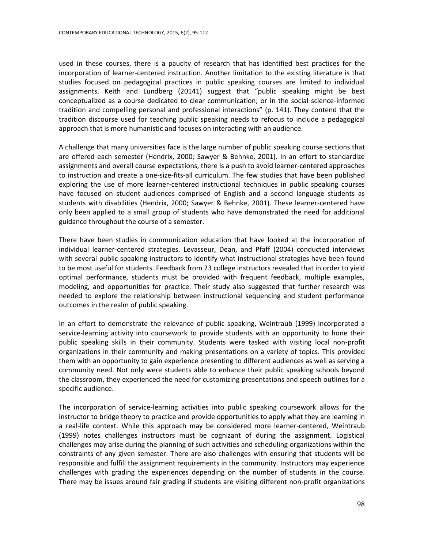used in these courses, there is a paucity of research that has identified best practices for the incorporation of learner-centered instruction. Another limitation to the existing literature is that studies focused on pedagogical practices in public speaking courses are limited to individual assignments. Keith and Lundberg (20141) suggest that "public speaking might be best conceptualized as a course dedicated to clear communication; or in the social science-informed tradition and compelling personal and professional interactions" (p. 141). They contend that the tradition discourse used for teaching public speaking needs to refocus to include a pedagogical approach that is more humanistic and focuses on interacting with an audience.

A challenge that many universities face is the large number of public speaking course sections that are offered each semester (Hendrix, 2000; Sawyer & Behnke, 2001). In an effort to standardize assignments and overall course expectations, there is a push to avoid learner-centered approaches to instruction and create a one-size-fits-all curriculum. The few studies that have been published exploring the use of more learner-centered instructional techniques in public speaking courses have focused on student audiences comprised of English and a second language students as students with disabilities (Hendrix, 2000; Sawyer & Behnke, 2001). These learner-centered have only been applied to a small group of students who have demonstrated the need for additional guidance throughout the course of a semester.

There have been studies in communication education that have looked at the incorporation of individual learner-centered strategies. Levasseur, Dean, and Pfaff (2004) conducted interviews with several public speaking instructors to identify what instructional strategies have been found to be most useful for students. Feedback from 23 college instructors revealed that in order to yield optimal performance, students must be provided with frequent feedback, multiple examples, modeling, and opportunities for practice. Their study also suggested that further research was needed to explore the relationship between instructional sequencing and student performance outcomes in the realm of public speaking.

In an effort to demonstrate the relevance of public speaking, Weintraub (1999) incorporated a service-learning activity into coursework to provide students with an opportunity to hone their public speaking skills in their community. Students were tasked with visiting local non-profit organizations in their community and making presentations on a variety of topics. This provided them with an opportunity to gain experience presenting to different audiences as well as serving a community need. Not only were students able to enhance their public speaking schools beyond the classroom, they experienced the need for customizing presentations and speech outlines for a specific audience.

The incorporation of service-learning activities into public speaking coursework allows for the instructor to bridge theory to practice and provide opportunities to apply what they are learning in a real-life context. While this approach may be considered more learner-centered, Weintraub (1999) notes challenges instructors must be cognizant of during the assignment. Logistical challenges may arise during the planning of such activities and scheduling organizations within the constraints of any given semester. There are also challenges with ensuring that students will be responsible and fulfill the assignment requirements in the community. Instructors may experience challenges with grading the experiences depending on the number of students in the course. There may be issues around fair grading if students are visiting different non-profit organizations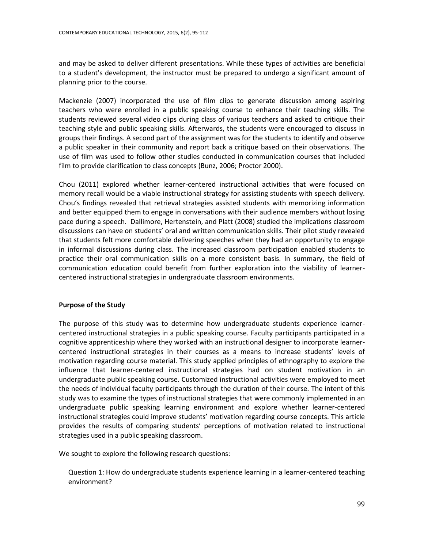and may be asked to deliver different presentations. While these types of activities are beneficial to a student's development, the instructor must be prepared to undergo a significant amount of planning prior to the course.

Mackenzie (2007) incorporated the use of film clips to generate discussion among aspiring teachers who were enrolled in a public speaking course to enhance their teaching skills. The students reviewed several video clips during class of various teachers and asked to critique their teaching style and public speaking skills. Afterwards, the students were encouraged to discuss in groups their findings. A second part of the assignment was for the students to identify and observe a public speaker in their community and report back a critique based on their observations. The use of film was used to follow other studies conducted in communication courses that included film to provide clarification to class concepts (Bunz, 2006; Proctor 2000).

Chou (2011) explored whether learner-centered instructional activities that were focused on memory recall would be a viable instructional strategy for assisting students with speech delivery. Chou's findings revealed that retrieval strategies assisted students with memorizing information and better equipped them to engage in conversations with their audience members without losing pace during a speech. Dallimore, Hertenstein, and Platt (2008) studied the implications classroom discussions can have on students' oral and written communication skills. Their pilot study revealed that students felt more comfortable delivering speeches when they had an opportunity to engage in informal discussions during class. The increased classroom participation enabled students to practice their oral communication skills on a more consistent basis. In summary, the field of communication education could benefit from further exploration into the viability of learnercentered instructional strategies in undergraduate classroom environments.

# **Purpose of the Study**

The purpose of this study was to determine how undergraduate students experience learnercentered instructional strategies in a public speaking course. Faculty participants participated in a cognitive apprenticeship where they worked with an instructional designer to incorporate learnercentered instructional strategies in their courses as a means to increase students' levels of motivation regarding course material. This study applied principles of ethnography to explore the influence that learner-centered instructional strategies had on student motivation in an undergraduate public speaking course. Customized instructional activities were employed to meet the needs of individual faculty participants through the duration of their course. The intent of this study was to examine the types of instructional strategies that were commonly implemented in an undergraduate public speaking learning environment and explore whether learner-centered instructional strategies could improve students' motivation regarding course concepts. This article provides the results of comparing students' perceptions of motivation related to instructional strategies used in a public speaking classroom.

We sought to explore the following research questions:

Question 1: How do undergraduate students experience learning in a learner-centered teaching environment?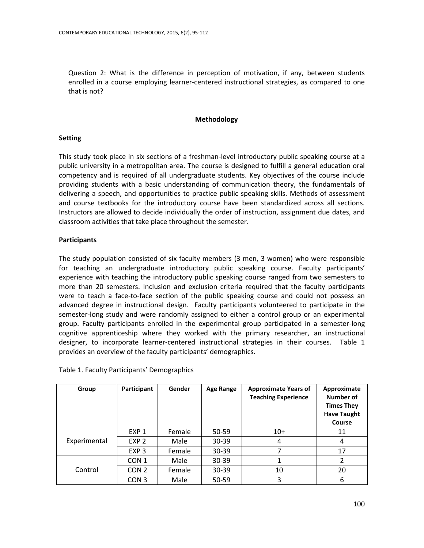Question 2: What is the difference in perception of motivation, if any, between students enrolled in a course employing learner-centered instructional strategies, as compared to one that is not?

## **Methodology**

## **Setting**

This study took place in six sections of a freshman-level introductory public speaking course at a public university in a metropolitan area. The course is designed to fulfill a general education oral competency and is required of all undergraduate students. Key objectives of the course include providing students with a basic understanding of communication theory, the fundamentals of delivering a speech, and opportunities to practice public speaking skills. Methods of assessment and course textbooks for the introductory course have been standardized across all sections. Instructors are allowed to decide individually the order of instruction, assignment due dates, and classroom activities that take place throughout the semester.

# **Participants**

The study population consisted of six faculty members (3 men, 3 women) who were responsible for teaching an undergraduate introductory public speaking course. Faculty participants' experience with teaching the introductory public speaking course ranged from two semesters to more than 20 semesters. Inclusion and exclusion criteria required that the faculty participants were to teach a face-to-face section of the public speaking course and could not possess an advanced degree in instructional design. Faculty participants volunteered to participate in the semester-long study and were randomly assigned to either a control group or an experimental group. Faculty participants enrolled in the experimental group participated in a semester-long cognitive apprenticeship where they worked with the primary researcher, an instructional designer, to incorporate learner-centered instructional strategies in their courses. Table 1 provides an overview of the faculty participants' demographics.

| Group        | Participant      | Gender | Age Range | <b>Approximate Years of</b><br><b>Teaching Experience</b> | Approximate<br>Number of<br><b>Times They</b><br><b>Have Taught</b><br>Course |
|--------------|------------------|--------|-----------|-----------------------------------------------------------|-------------------------------------------------------------------------------|
|              | EXP <sub>1</sub> | Female | 50-59     | $10+$                                                     | 11                                                                            |
| Experimental | EXP <sub>2</sub> | Male   | 30-39     | 4                                                         | 4                                                                             |
|              | EXP <sub>3</sub> | Female | $30 - 39$ | 7                                                         | 17                                                                            |
|              | CON <sub>1</sub> | Male   | 30-39     | 1                                                         | 2                                                                             |
| Control      | CON <sub>2</sub> | Female | $30 - 39$ | 10                                                        | 20                                                                            |
|              | CON 3            | Male   | 50-59     | 3                                                         | 6                                                                             |

## Table 1. Faculty Participants' Demographics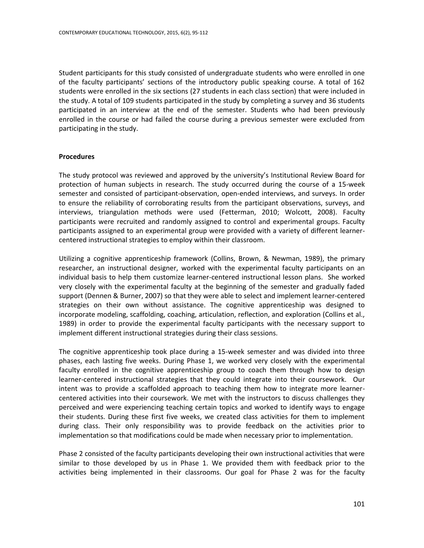Student participants for this study consisted of undergraduate students who were enrolled in one of the faculty participants' sections of the introductory public speaking course. A total of 162 students were enrolled in the six sections (27 students in each class section) that were included in the study. A total of 109 students participated in the study by completing a survey and 36 students participated in an interview at the end of the semester. Students who had been previously enrolled in the course or had failed the course during a previous semester were excluded from participating in the study.

#### **Procedures**

The study protocol was reviewed and approved by the university's Institutional Review Board for protection of human subjects in research. The study occurred during the course of a 15-week semester and consisted of participant-observation, open-ended interviews, and surveys. In order to ensure the reliability of corroborating results from the participant observations, surveys, and interviews, triangulation methods were used (Fetterman, 2010; Wolcott, 2008). Faculty participants were recruited and randomly assigned to control and experimental groups. Faculty participants assigned to an experimental group were provided with a variety of different learnercentered instructional strategies to employ within their classroom.

Utilizing a cognitive apprenticeship framework (Collins, Brown, & Newman, 1989), the primary researcher, an instructional designer, worked with the experimental faculty participants on an individual basis to help them customize learner-centered instructional lesson plans. She worked very closely with the experimental faculty at the beginning of the semester and gradually faded support (Dennen & Burner, 2007) so that they were able to select and implement learner-centered strategies on their own without assistance. The cognitive apprenticeship was designed to incorporate modeling, scaffolding, coaching, articulation, reflection, and exploration (Collins et al., 1989) in order to provide the experimental faculty participants with the necessary support to implement different instructional strategies during their class sessions.

The cognitive apprenticeship took place during a 15-week semester and was divided into three phases, each lasting five weeks. During Phase 1, we worked very closely with the experimental faculty enrolled in the cognitive apprenticeship group to coach them through how to design learner-centered instructional strategies that they could integrate into their coursework. Our intent was to provide a scaffolded approach to teaching them how to integrate more learnercentered activities into their coursework. We met with the instructors to discuss challenges they perceived and were experiencing teaching certain topics and worked to identify ways to engage their students. During these first five weeks, we created class activities for them to implement during class. Their only responsibility was to provide feedback on the activities prior to implementation so that modifications could be made when necessary prior to implementation.

Phase 2 consisted of the faculty participants developing their own instructional activities that were similar to those developed by us in Phase 1. We provided them with feedback prior to the activities being implemented in their classrooms. Our goal for Phase 2 was for the faculty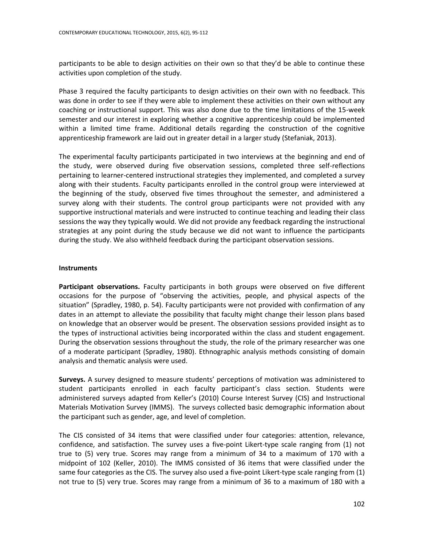participants to be able to design activities on their own so that they'd be able to continue these activities upon completion of the study.

Phase 3 required the faculty participants to design activities on their own with no feedback. This was done in order to see if they were able to implement these activities on their own without any coaching or instructional support. This was also done due to the time limitations of the 15-week semester and our interest in exploring whether a cognitive apprenticeship could be implemented within a limited time frame. Additional details regarding the construction of the cognitive apprenticeship framework are laid out in greater detail in a larger study (Stefaniak, 2013).

The experimental faculty participants participated in two interviews at the beginning and end of the study, were observed during five observation sessions, completed three self-reflections pertaining to learner-centered instructional strategies they implemented, and completed a survey along with their students. Faculty participants enrolled in the control group were interviewed at the beginning of the study, observed five times throughout the semester, and administered a survey along with their students. The control group participants were not provided with any supportive instructional materials and were instructed to continue teaching and leading their class sessions the way they typically would. We did not provide any feedback regarding the instructional strategies at any point during the study because we did not want to influence the participants during the study. We also withheld feedback during the participant observation sessions.

## **Instruments**

**Participant observations.** Faculty participants in both groups were observed on five different occasions for the purpose of "observing the activities, people, and physical aspects of the situation" (Spradley, 1980, p. 54). Faculty participants were not provided with confirmation of any dates in an attempt to alleviate the possibility that faculty might change their lesson plans based on knowledge that an observer would be present. The observation sessions provided insight as to the types of instructional activities being incorporated within the class and student engagement. During the observation sessions throughout the study, the role of the primary researcher was one of a moderate participant (Spradley, 1980). Ethnographic analysis methods consisting of domain analysis and thematic analysis were used.

**Surveys.** A survey designed to measure students' perceptions of motivation was administered to student participants enrolled in each faculty participant's class section. Students were administered surveys adapted from Keller's (2010) Course Interest Survey (CIS) and Instructional Materials Motivation Survey (IMMS). The surveys collected basic demographic information about the participant such as gender, age, and level of completion.

The CIS consisted of 34 items that were classified under four categories: attention, relevance, confidence, and satisfaction. The survey uses a five-point Likert-type scale ranging from (1) not true to (5) very true. Scores may range from a minimum of 34 to a maximum of 170 with a midpoint of 102 (Keller, 2010). The IMMS consisted of 36 items that were classified under the same four categories as the CIS. The survey also used a five-point Likert-type scale ranging from (1) not true to (5) very true. Scores may range from a minimum of 36 to a maximum of 180 with a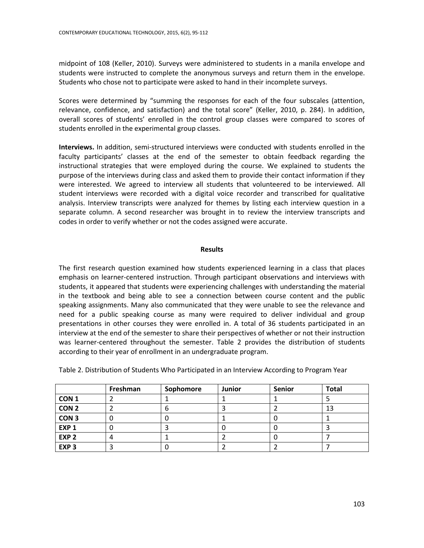midpoint of 108 (Keller, 2010). Surveys were administered to students in a manila envelope and students were instructed to complete the anonymous surveys and return them in the envelope. Students who chose not to participate were asked to hand in their incomplete surveys.

Scores were determined by "summing the responses for each of the four subscales (attention, relevance, confidence, and satisfaction) and the total score" (Keller, 2010, p. 284). In addition, overall scores of students' enrolled in the control group classes were compared to scores of students enrolled in the experimental group classes.

**Interviews.** In addition, semi-structured interviews were conducted with students enrolled in the faculty participants' classes at the end of the semester to obtain feedback regarding the instructional strategies that were employed during the course. We explained to students the purpose of the interviews during class and asked them to provide their contact information if they were interested. We agreed to interview all students that volunteered to be interviewed. All student interviews were recorded with a digital voice recorder and transcribed for qualitative analysis. Interview transcripts were analyzed for themes by listing each interview question in a separate column. A second researcher was brought in to review the interview transcripts and codes in order to verify whether or not the codes assigned were accurate.

## **Results**

The first research question examined how students experienced learning in a class that places emphasis on learner-centered instruction. Through participant observations and interviews with students, it appeared that students were experiencing challenges with understanding the material in the textbook and being able to see a connection between course content and the public speaking assignments. Many also communicated that they were unable to see the relevance and need for a public speaking course as many were required to deliver individual and group presentations in other courses they were enrolled in. A total of 36 students participated in an interview at the end of the semester to share their perspectives of whether or not their instruction was learner-centered throughout the semester. Table 2 provides the distribution of students according to their year of enrollment in an undergraduate program.

|                  | Freshman | Sophomore | Junior | Senior | <b>Total</b> |
|------------------|----------|-----------|--------|--------|--------------|
| CON <sub>1</sub> |          |           |        |        |              |
| CON <sub>2</sub> |          | b         |        |        | 13           |
| CON <sub>3</sub> |          | U         |        |        |              |
| EXP <sub>1</sub> |          |           |        |        |              |
| EXP <sub>2</sub> |          |           |        |        |              |
| EXP <sub>3</sub> |          |           |        |        |              |

Table 2. Distribution of Students Who Participated in an Interview According to Program Year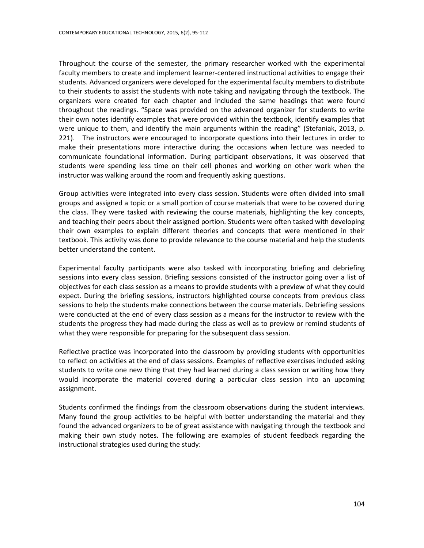Throughout the course of the semester, the primary researcher worked with the experimental faculty members to create and implement learner-centered instructional activities to engage their students. Advanced organizers were developed for the experimental faculty members to distribute to their students to assist the students with note taking and navigating through the textbook. The organizers were created for each chapter and included the same headings that were found throughout the readings. "Space was provided on the advanced organizer for students to write their own notes identify examples that were provided within the textbook, identify examples that were unique to them, and identify the main arguments within the reading" (Stefaniak, 2013, p. 221). The instructors were encouraged to incorporate questions into their lectures in order to make their presentations more interactive during the occasions when lecture was needed to communicate foundational information. During participant observations, it was observed that students were spending less time on their cell phones and working on other work when the instructor was walking around the room and frequently asking questions.

Group activities were integrated into every class session. Students were often divided into small groups and assigned a topic or a small portion of course materials that were to be covered during the class. They were tasked with reviewing the course materials, highlighting the key concepts, and teaching their peers about their assigned portion. Students were often tasked with developing their own examples to explain different theories and concepts that were mentioned in their textbook. This activity was done to provide relevance to the course material and help the students better understand the content.

Experimental faculty participants were also tasked with incorporating briefing and debriefing sessions into every class session. Briefing sessions consisted of the instructor going over a list of objectives for each class session as a means to provide students with a preview of what they could expect. During the briefing sessions, instructors highlighted course concepts from previous class sessions to help the students make connections between the course materials. Debriefing sessions were conducted at the end of every class session as a means for the instructor to review with the students the progress they had made during the class as well as to preview or remind students of what they were responsible for preparing for the subsequent class session.

Reflective practice was incorporated into the classroom by providing students with opportunities to reflect on activities at the end of class sessions. Examples of reflective exercises included asking students to write one new thing that they had learned during a class session or writing how they would incorporate the material covered during a particular class session into an upcoming assignment.

Students confirmed the findings from the classroom observations during the student interviews. Many found the group activities to be helpful with better understanding the material and they found the advanced organizers to be of great assistance with navigating through the textbook and making their own study notes. The following are examples of student feedback regarding the instructional strategies used during the study: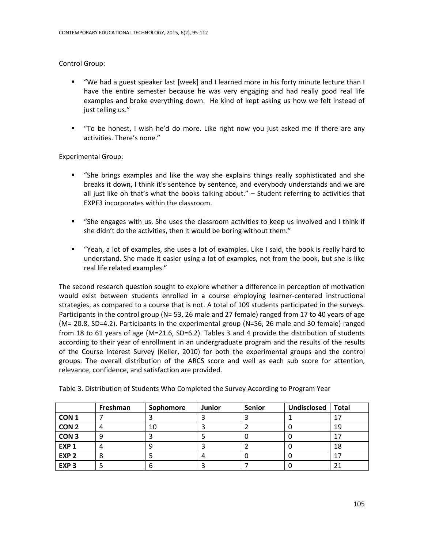# Control Group:

- " "We had a guest speaker last [week] and I learned more in his forty minute lecture than I have the entire semester because he was very engaging and had really good real life examples and broke everything down. He kind of kept asking us how we felt instead of just telling us."
- "To be honest, I wish he'd do more. Like right now you just asked me if there are any activities. There's none."

## Experimental Group:

- "She brings examples and like the way she explains things really sophisticated and she breaks it down, I think it's sentence by sentence, and everybody understands and we are all just like oh that's what the books talking about." – Student referring to activities that EXPF3 incorporates within the classroom.
- "She engages with us. She uses the classroom activities to keep us involved and I think if she didn't do the activities, then it would be boring without them."
- "Yeah, a lot of examples, she uses a lot of examples. Like I said, the book is really hard to understand. She made it easier using a lot of examples, not from the book, but she is like real life related examples."

The second research question sought to explore whether a difference in perception of motivation would exist between students enrolled in a course employing learner-centered instructional strategies, as compared to a course that is not. A total of 109 students participated in the surveys. Participants in the control group (N= 53, 26 male and 27 female) ranged from 17 to 40 years of age (M= 20.8, SD=4.2). Participants in the experimental group (N=56, 26 male and 30 female) ranged from 18 to 61 years of age (M=21.6, SD=6.2). Tables 3 and 4 provide the distribution of students according to their year of enrollment in an undergraduate program and the results of the results of the Course Interest Survey (Keller, 2010) for both the experimental groups and the control groups. The overall distribution of the ARCS score and well as each sub score for attention, relevance, confidence, and satisfaction are provided.

|                  | Freshman | Sophomore | <b>Junior</b> | <b>Senior</b> | <b>Undisclosed</b> | <b>Total</b> |
|------------------|----------|-----------|---------------|---------------|--------------------|--------------|
| CON <sub>1</sub> |          |           | ر             |               |                    | 17           |
| CON <sub>2</sub> |          | 10        |               |               |                    | 19           |
| CON <sub>3</sub> |          |           |               |               |                    | 17           |
| EXP <sub>1</sub> |          |           |               |               |                    | 18           |
| EXP <sub>2</sub> | ◠        |           |               |               |                    | 17           |
| EXP <sub>3</sub> |          |           |               |               |                    | 21           |

Table 3. Distribution of Students Who Completed the Survey According to Program Year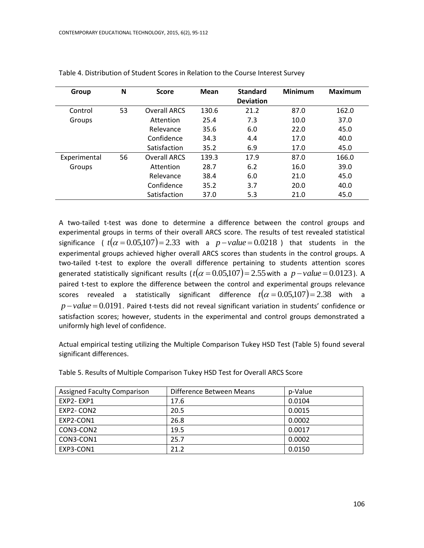| Group        | N  | <b>Score</b>        | Mean  | <b>Standard</b><br><b>Deviation</b> | <b>Minimum</b> | <b>Maximum</b> |
|--------------|----|---------------------|-------|-------------------------------------|----------------|----------------|
| Control      | 53 | <b>Overall ARCS</b> | 130.6 | 21.2                                | 87.0           | 162.0          |
| Groups       |    | Attention           | 25.4  | 7.3                                 | 10.0           | 37.0           |
|              |    | Relevance           | 35.6  | 6.0                                 | 22.0           | 45.0           |
|              |    | Confidence          | 34.3  | 4.4                                 | 17.0           | 40.0           |
|              |    | Satisfaction        | 35.2  | 6.9                                 | 17.0           | 45.0           |
| Experimental | 56 | <b>Overall ARCS</b> | 139.3 | 17.9                                | 87.0           | 166.0          |
| Groups       |    | Attention           | 28.7  | 6.2                                 | 16.0           | 39.0           |
|              |    | Relevance           | 38.4  | 6.0                                 | 21.0           | 45.0           |
|              |    | Confidence          | 35.2  | 3.7                                 | 20.0           | 40.0           |
|              |    | Satisfaction        | 37.0  | 5.3                                 | 21.0           | 45.0           |

Table 4. Distribution of Student Scores in Relation to the Course Interest Survey

A two-tailed t-test was done to determine a difference between the control groups and experimental groups in terms of their overall ARCS score. The results of test revealed statistical significance (  $t(\alpha = 0.05,107) = 2.33$  with a  $p-value = 0.0218$  ) that students in the experimental groups achieved higher overall ARCS scores than students in the control groups. A two-tailed t-test to explore the overall difference pertaining to students attention scores generated statistically significant results ( $t(\alpha = 0.05{,}107) = 2.55$  with a  $\emph{p-value} = 0.0123$ ). A paired t-test to explore the difference between the control and experimental groups relevance scores revealed a statistically significant difference  $t(\alpha\!=\!0.05,\!107)\!=\!2.38$  with a  $p-value = 0.0191$ . Paired t-tests did not reveal significant variation in students' confidence or satisfaction scores; however, students in the experimental and control groups demonstrated a uniformly high level of confidence.

Actual empirical testing utilizing the Multiple Comparison Tukey HSD Test (Table 5) found several significant differences.

| <b>Assigned Faculty Comparison</b> | Difference Between Means | p-Value |
|------------------------------------|--------------------------|---------|
| FXP2-FXP1                          | 17.6                     | 0.0104  |
| EXP2-CON2                          | 20.5                     | 0.0015  |
| EXP2-CON1                          | 26.8                     | 0.0002  |
| CON3-CON2                          | 19.5                     | 0.0017  |
| CON3-CON1                          | 25.7                     | 0.0002  |
| EXP3-CON1                          | 21.2                     | 0.0150  |

Table 5. Results of Multiple Comparison Tukey HSD Test for Overall ARCS Score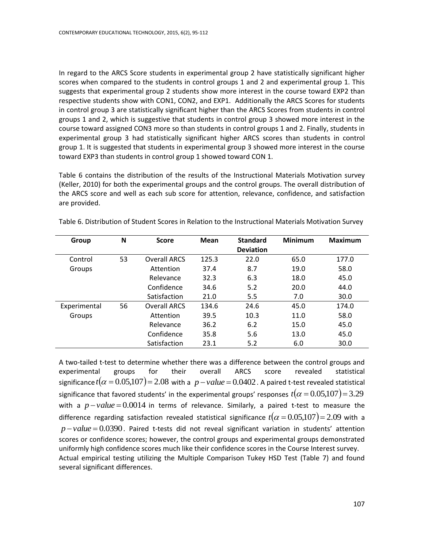In regard to the ARCS Score students in experimental group 2 have statistically significant higher scores when compared to the students in control groups 1 and 2 and experimental group 1. This suggests that experimental group 2 students show more interest in the course toward EXP2 than respective students show with CON1, CON2, and EXP1. Additionally the ARCS Scores for students in control group 3 are statistically significant higher than the ARCS Scores from students in control groups 1 and 2, which is suggestive that students in control group 3 showed more interest in the course toward assigned CON3 more so than students in control groups 1 and 2. Finally, students in experimental group 3 had statistically significant higher ARCS scores than students in control group 1. It is suggested that students in experimental group 3 showed more interest in the course toward EXP3 than students in control group 1 showed toward CON 1.

Table 6 contains the distribution of the results of the Instructional Materials Motivation survey (Keller, 2010) for both the experimental groups and the control groups. The overall distribution of the ARCS score and well as each sub score for attention, relevance, confidence, and satisfaction are provided.

| Group        | N  | <b>Score</b>        | <b>Mean</b> | <b>Standard</b>  | <b>Minimum</b> | <b>Maximum</b> |
|--------------|----|---------------------|-------------|------------------|----------------|----------------|
|              |    |                     |             | <b>Deviation</b> |                |                |
| Control      | 53 | <b>Overall ARCS</b> | 125.3       | 22.0             | 65.0           | 177.0          |
| Groups       |    | Attention           | 37.4        | 8.7              | 19.0           | 58.0           |
|              |    | Relevance           | 32.3        | 6.3              | 18.0           | 45.0           |
|              |    | Confidence          | 34.6        | 5.2              | 20.0           | 44.0           |
|              |    | Satisfaction        | 21.0        | 5.5              | 7.0            | 30.0           |
| Experimental | 56 | <b>Overall ARCS</b> | 134.6       | 24.6             | 45.0           | 174.0          |
| Groups       |    | Attention           | 39.5        | 10.3             | 11.0           | 58.0           |
|              |    | Relevance           | 36.2        | 6.2              | 15.0           | 45.0           |
|              |    | Confidence          | 35.8        | 5.6              | 13.0           | 45.0           |
|              |    | Satisfaction        | 23.1        | 5.2              | 6.0            | 30.0           |

Table 6. Distribution of Student Scores in Relation to the Instructional Materials Motivation Survey

A two-tailed t-test to determine whether there was a difference between the control groups and experimental groups for their overall ARCS score revealed statistical significance  $t(\alpha = 0.05,107) = 2.08$  with a  $\;p - value = 0.0402$  . A paired t-test revealed statistical significance that favored students' in the experimental groups' responses  $\mathit{t} \big( \alpha \hspace*{-.3mm}=\hspace*{-.3mm} 0.05,\hspace*{-.3mm} 107 \big) \hspace*{-.3mm}=\hspace*{-.3mm} 3.29$ with a  $p-value = 0.0014$  in terms of relevance. Similarly, a paired t-test to measure the difference regarding satisfaction revealed statistical significance  $t(\alpha=0.05,\!107)$  = 2.09 with a  $p-value = 0.0390$ . Paired t-tests did not reveal significant variation in students' attention scores or confidence scores; however, the control groups and experimental groups demonstrated uniformly high confidence scores much like their confidence scores in the Course Interest survey. Actual empirical testing utilizing the Multiple Comparison Tukey HSD Test (Table 7) and found several significant differences.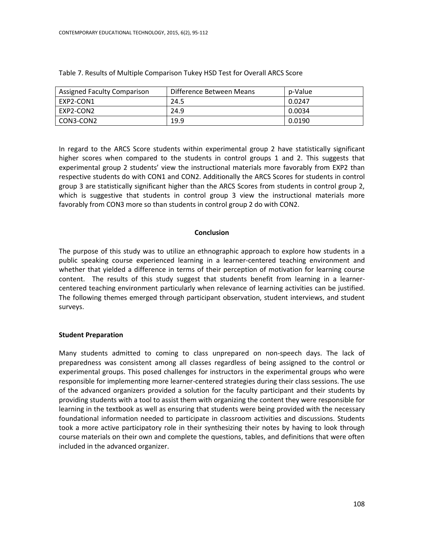| <b>Assigned Faculty Comparison</b> | Difference Between Means | p-Value |
|------------------------------------|--------------------------|---------|
| EXP2-CON1                          | 24.5                     | 0.0247  |
| EXP2-CON2                          | 24.9                     | 0.0034  |
| CON3-CON2                          | 19.9                     | 0.0190  |

# Table 7. Results of Multiple Comparison Tukey HSD Test for Overall ARCS Score

In regard to the ARCS Score students within experimental group 2 have statistically significant higher scores when compared to the students in control groups 1 and 2. This suggests that experimental group 2 students' view the instructional materials more favorably from EXP2 than respective students do with CON1 and CON2. Additionally the ARCS Scores for students in control group 3 are statistically significant higher than the ARCS Scores from students in control group 2, which is suggestive that students in control group 3 view the instructional materials more favorably from CON3 more so than students in control group 2 do with CON2.

## **Conclusion**

The purpose of this study was to utilize an ethnographic approach to explore how students in a public speaking course experienced learning in a learner-centered teaching environment and whether that yielded a difference in terms of their perception of motivation for learning course content. The results of this study suggest that students benefit from learning in a learnercentered teaching environment particularly when relevance of learning activities can be justified. The following themes emerged through participant observation, student interviews, and student surveys.

## **Student Preparation**

Many students admitted to coming to class unprepared on non-speech days. The lack of preparedness was consistent among all classes regardless of being assigned to the control or experimental groups. This posed challenges for instructors in the experimental groups who were responsible for implementing more learner-centered strategies during their class sessions. The use of the advanced organizers provided a solution for the faculty participant and their students by providing students with a tool to assist them with organizing the content they were responsible for learning in the textbook as well as ensuring that students were being provided with the necessary foundational information needed to participate in classroom activities and discussions. Students took a more active participatory role in their synthesizing their notes by having to look through course materials on their own and complete the questions, tables, and definitions that were often included in the advanced organizer.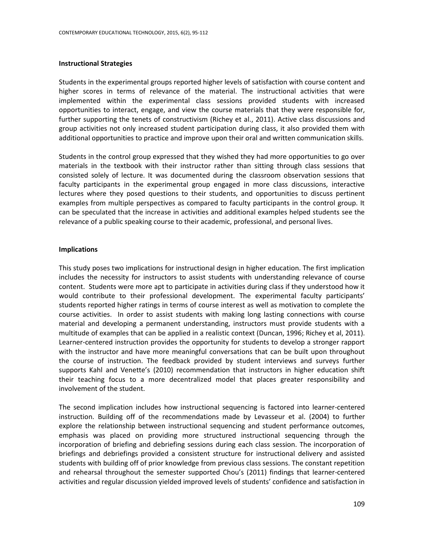#### **Instructional Strategies**

Students in the experimental groups reported higher levels of satisfaction with course content and higher scores in terms of relevance of the material. The instructional activities that were implemented within the experimental class sessions provided students with increased opportunities to interact, engage, and view the course materials that they were responsible for, further supporting the tenets of constructivism (Richey et al., 2011). Active class discussions and group activities not only increased student participation during class, it also provided them with additional opportunities to practice and improve upon their oral and written communication skills.

Students in the control group expressed that they wished they had more opportunities to go over materials in the textbook with their instructor rather than sitting through class sessions that consisted solely of lecture. It was documented during the classroom observation sessions that faculty participants in the experimental group engaged in more class discussions, interactive lectures where they posed questions to their students, and opportunities to discuss pertinent examples from multiple perspectives as compared to faculty participants in the control group. It can be speculated that the increase in activities and additional examples helped students see the relevance of a public speaking course to their academic, professional, and personal lives.

#### **Implications**

This study poses two implications for instructional design in higher education. The first implication includes the necessity for instructors to assist students with understanding relevance of course content. Students were more apt to participate in activities during class if they understood how it would contribute to their professional development. The experimental faculty participants' students reported higher ratings in terms of course interest as well as motivation to complete the course activities. In order to assist students with making long lasting connections with course material and developing a permanent understanding, instructors must provide students with a multitude of examples that can be applied in a realistic context (Duncan, 1996; Richey et al, 2011). Learner-centered instruction provides the opportunity for students to develop a stronger rapport with the instructor and have more meaningful conversations that can be built upon throughout the course of instruction. The feedback provided by student interviews and surveys further supports Kahl and Venette's (2010) recommendation that instructors in higher education shift their teaching focus to a more decentralized model that places greater responsibility and involvement of the student.

The second implication includes how instructional sequencing is factored into learner-centered instruction. Building off of the recommendations made by Levasseur et al. (2004) to further explore the relationship between instructional sequencing and student performance outcomes, emphasis was placed on providing more structured instructional sequencing through the incorporation of briefing and debriefing sessions during each class session. The incorporation of briefings and debriefings provided a consistent structure for instructional delivery and assisted students with building off of prior knowledge from previous class sessions. The constant repetition and rehearsal throughout the semester supported Chou's (2011) findings that learner-centered activities and regular discussion yielded improved levels of students' confidence and satisfaction in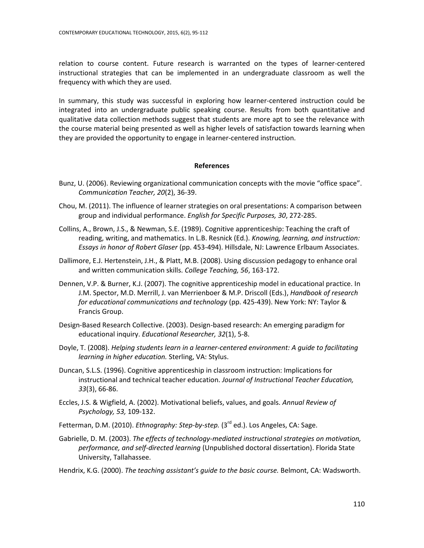relation to course content. Future research is warranted on the types of learner-centered instructional strategies that can be implemented in an undergraduate classroom as well the frequency with which they are used.

In summary, this study was successful in exploring how learner-centered instruction could be integrated into an undergraduate public speaking course. Results from both quantitative and qualitative data collection methods suggest that students are more apt to see the relevance with the course material being presented as well as higher levels of satisfaction towards learning when they are provided the opportunity to engage in learner-centered instruction.

## **References**

- Bunz, U. (2006). Reviewing organizational communication concepts with the movie "office space". *Communication Teacher, 20*(2), 36-39.
- Chou, M. (2011). The influence of learner strategies on oral presentations: A comparison between group and individual performance. *English for Specific Purposes, 30*, 272-285.
- Collins, A., Brown, J.S., & Newman, S.E. (1989). Cognitive apprenticeship: Teaching the craft of reading, writing, and mathematics. In L.B. Resnick (Ed.). *Knowing, learning, and instruction: Essays in honor of Robert Glaser* (pp. 453-494). Hillsdale, NJ: Lawrence Erlbaum Associates.
- Dallimore, E.J. Hertenstein, J.H., & Platt, M.B. (2008). Using discussion pedagogy to enhance oral and written communication skills. *College Teaching, 56*, 163-172.
- Dennen, V.P. & Burner, K.J. (2007). The cognitive apprenticeship model in educational practice. In J.M. Spector, M.D. Merrill, J. van Merrienboer & M.P. Driscoll (Eds.), *Handbook of research for educational communications and technology* (pp. 425-439). New York: NY: Taylor & Francis Group.
- Design-Based Research Collective. (2003). Design-based research: An emerging paradigm for educational inquiry. *Educational Researcher, 32*(1), 5-8.
- Doyle, T. (2008). *Helping students learn in a learner-centered environment: A guide to facilitating learning in higher education.* Sterling, VA: Stylus.
- Duncan, S.L.S. (1996). Cognitive apprenticeship in classroom instruction: Implications for instructional and technical teacher education. *Journal of Instructional Teacher Education, 33*(3), 66-86.
- Eccles, J.S. & Wigfield, A. (2002). Motivational beliefs, values, and goals. *Annual Review of Psychology, 53,* 109-132.

Fetterman, D.M. (2010). *Ethnography: Step-by-step.* (3<sup>rd</sup> ed.). Los Angeles, CA: Sage.

Gabrielle, D. M. (2003). *The effects of technology-mediated instructional strategies on motivation, performance, and self-directed learning* (Unpublished doctoral dissertation). Florida State University, Tallahassee.

Hendrix, K.G. (2000). *The teaching assistant's guide to the basic course.* Belmont, CA: Wadsworth.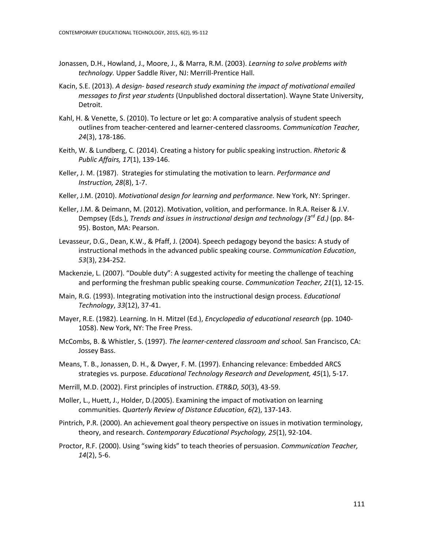- Jonassen, D.H., Howland, J., Moore, J., & Marra, R.M. (2003). *Learning to solve problems with technology.* Upper Saddle River, NJ: Merrill-Prentice Hall.
- Kacin, S.E. (2013). *A design- based research study examining the impact of motivational emailed messages to first year students* (Unpublished doctoral dissertation). Wayne State University, Detroit.
- Kahl, H. & Venette, S. (2010). To lecture or let go: A comparative analysis of student speech outlines from teacher-centered and learner-centered classrooms. *Communication Teacher, 24*(3), 178-186.
- Keith, W. & Lundberg, C. (2014). Creating a history for public speaking instruction. *Rhetoric & Public Affairs, 17*(1), 139-146.
- Keller, J. M. (1987). Strategies for stimulating the motivation to learn. *Performance and Instruction, 28*(8), 1-7.
- Keller, J.M. (2010). *Motivational design for learning and performance.* New York, NY: Springer.
- Keller, J.M. & Deimann, M. (2012). Motivation, volition, and performance. In R.A. Reiser & J.V. Dempsey (Eds.), *Trends and issues in instructional design and technology (3rd Ed.)* (pp. 84- 95). Boston, MA: Pearson.
- Levasseur, D.G., Dean, K.W., & Pfaff, J. (2004). Speech pedagogy beyond the basics: A study of instructional methods in the advanced public speaking course. *Communication Education*, *53*(3), 234-252.
- Mackenzie, L. (2007). "Double duty": A suggested activity for meeting the challenge of teaching and performing the freshman public speaking course. *Communication Teacher, 21*(1), 12-15.
- Main, R.G. (1993). Integrating motivation into the instructional design process. *Educational Technology*, *33*(12), 37-41.
- Mayer, R.E. (1982). Learning. In H. Mitzel (Ed.), *Encyclopedia of educational research* (pp. 1040- 1058). New York, NY: The Free Press.
- McCombs, B. & Whistler, S. (1997). *The learner-centered classroom and school.* San Francisco, CA: Jossey Bass.
- Means, T. B., Jonassen, D. H., & Dwyer, F. M. (1997). Enhancing relevance: Embedded ARCS strategies vs. purpose. *Educational Technology Research and Development, 45*(1), 5-17.
- Merrill, M.D. (2002). First principles of instruction. *ETR&D, 50*(3), 43-59.
- Moller, L., Huett, J., Holder, D.(2005). Examining the impact of motivation on learning communities. *Quarterly Review of Distance Education*, *6(*2), 137-143.
- Pintrich, P.R. (2000). An achievement goal theory perspective on issues in motivation terminology, theory, and research. *Contemporary Educational Psychology, 25*(1), 92-104.
- Proctor, R.F. (2000). Using "swing kids" to teach theories of persuasion. *Communication Teacher, 14*(2), 5-6.